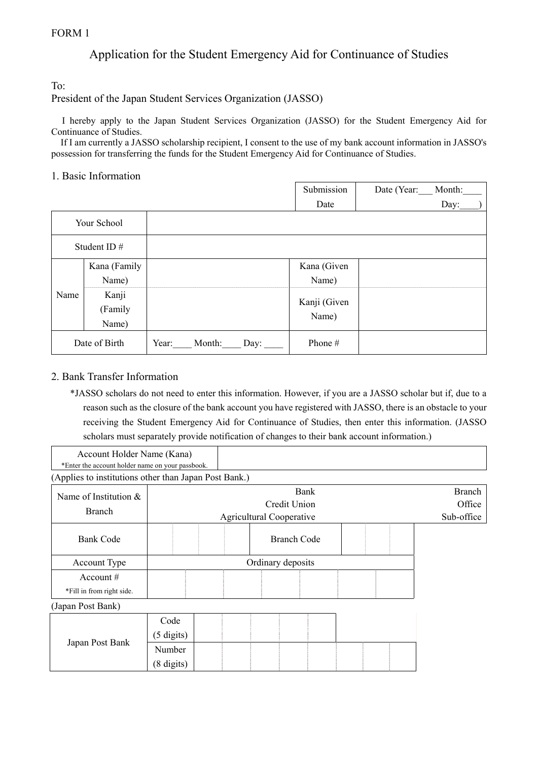# Application for the Student Emergency Aid for Continuance of Studies

To:

## President of the Japan Student Services Organization (JASSO)

I hereby apply to the Japan Student Services Organization (JASSO) for the Student Emergency Aid for Continuance of Studies.

If I am currently a JASSO scholarship recipient, I consent to the use of my bank account information in JASSO's possession for transferring the funds for the Student Emergency Aid for Continuance of Studies.

## 1. Basic Information

|               |              |       |        |      | Submission   | Date (Year: | Month: |
|---------------|--------------|-------|--------|------|--------------|-------------|--------|
|               |              |       |        |      | Date         |             | Day:   |
| Your School   |              |       |        |      |              |             |        |
| Student ID#   |              |       |        |      |              |             |        |
| Name          | Kana (Family |       |        |      | Kana (Given  |             |        |
|               | Name)        |       |        |      | Name)        |             |        |
|               | Kanji        |       |        |      | Kanji (Given |             |        |
|               | (Family      |       |        |      | Name)        |             |        |
|               | Name)        |       |        |      |              |             |        |
| Date of Birth |              | Year: | Month: | Day: | Phone #      |             |        |

## 2. Bank Transfer Information

\*JASSO scholars do not need to enter this information. However, if you are a JASSO scholar but if, due to a reason such as the closure of the bank account you have registered with JASSO, there is an obstacle to your receiving the Student Emergency Aid for Continuance of Studies, then enter this information. (JASSO scholars must separately provide notification of changes to their bank account information.)

| (Kana<br>Account<br>a Holder Name '              |  |
|--------------------------------------------------|--|
| *Enter the account holder name on your passbook. |  |

(Applies to institutions other than Japan Post Bank.)

| Name of Institution $&$<br>Branch | Bank<br>Credit Union<br><b>Agricultural Cooperative</b> |                   |  |                    |  |  | <b>Branch</b><br>Office<br>Sub-office |  |  |
|-----------------------------------|---------------------------------------------------------|-------------------|--|--------------------|--|--|---------------------------------------|--|--|
| <b>Bank Code</b>                  |                                                         |                   |  | <b>Branch Code</b> |  |  |                                       |  |  |
| Account Type                      |                                                         | Ordinary deposits |  |                    |  |  |                                       |  |  |
| Account $#$                       |                                                         |                   |  |                    |  |  |                                       |  |  |
| *Fill in from right side.         |                                                         |                   |  |                    |  |  |                                       |  |  |
| (Japan Post Bank)                 |                                                         |                   |  |                    |  |  |                                       |  |  |
|                                   | Code                                                    |                   |  |                    |  |  |                                       |  |  |
|                                   | $(5 \text{ digits})$                                    |                   |  |                    |  |  |                                       |  |  |
| Japan Post Bank                   | Number                                                  |                   |  |                    |  |  |                                       |  |  |
|                                   | (8 digits)                                              |                   |  |                    |  |  |                                       |  |  |